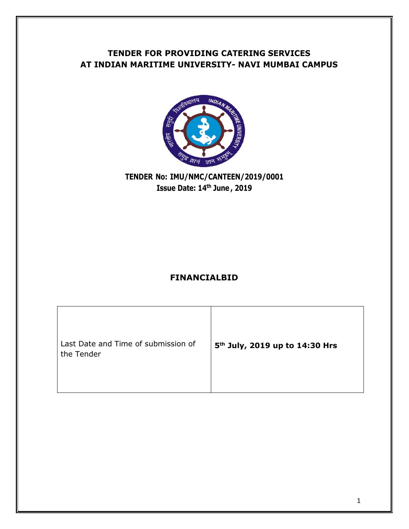# **TENDER FOR PROVIDING CATERING SERVICES AT INDIAN MARITIME UNIVERSITY- NAVI MUMBAI CAMPUS**



## **TENDER No: IMU/NMC/CANTEEN/2019/0001 Issue Date: 14th June , 2019**

#### **FINANCIALBID**

| 5 <sup>th</sup> July, 2019 up to 14:30 Hrs |
|--------------------------------------------|
|                                            |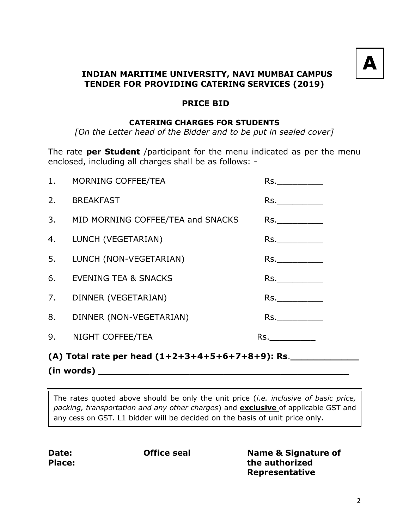

#### **INDIAN MARITIME UNIVERSITY, NAVI MUMBAI CAMPUS TENDER FOR PROVIDING CATERING SERVICES (2019)**

#### **PRICE BID**

#### **CATERING CHARGES FOR STUDENTS**

*[On the Letter head of the Bidder and to be put in sealed cover]*

The rate **per Student** /participant for the menu indicated as per the menu enclosed, including all charges shall be as follows: -

|    | (A) Total rate per head $(1+2+3+4+5+6+7+8+9)$ : Rs.<br>(in words) |                                                                                                                |  |  |  |  |  |  |
|----|-------------------------------------------------------------------|----------------------------------------------------------------------------------------------------------------|--|--|--|--|--|--|
|    | 9. NIGHT COFFEE/TEA                                               | Rs. Album and the state of the state of the state of the state of the state of the state of the state of the s |  |  |  |  |  |  |
|    | 8. DINNER (NON-VEGETARIAN)                                        | Rs.                                                                                                            |  |  |  |  |  |  |
|    | 7. DINNER (VEGETARIAN)                                            | Rs.                                                                                                            |  |  |  |  |  |  |
|    | 6. EVENING TEA & SNACKS                                           |                                                                                                                |  |  |  |  |  |  |
|    | 5. LUNCH (NON-VEGETARIAN)                                         | Rs.                                                                                                            |  |  |  |  |  |  |
|    | 4. LUNCH (VEGETARIAN)                                             | Rs.                                                                                                            |  |  |  |  |  |  |
|    | 3. MID MORNING COFFEE/TEA and SNACKS                              | Rs.                                                                                                            |  |  |  |  |  |  |
|    | 2. BREAKFAST                                                      | Rs.                                                                                                            |  |  |  |  |  |  |
| 1. | MORNING COFFEE/TEA                                                | Rs.                                                                                                            |  |  |  |  |  |  |

The rates quoted above should be only the unit price (*i.e. inclusive of basic price, packing, transportation and any other charges*) and **exclusive** of applicable GST and any cess on GST. L1 bidder will be decided on the basis of unit price only.

**Date: Place:**

 **Office seal Name & Signature of the authorized Representative**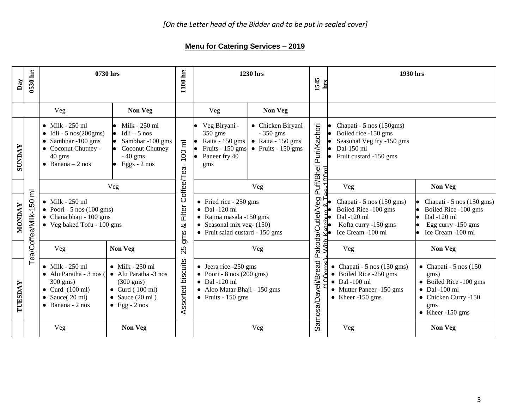## **Menu for Catering Services – 2019**

| Day           | 0530 hrs              | 0730 hrs                                                                                                                                                            |                                                                                                                                                         | 1100 hrs                       |                                                                                                                                                              | 1230 hrs                                                                                   | 1545<br>hrs                 | 1930 hrs                                                                                                                                     |                                                                                                                                                      |
|---------------|-----------------------|---------------------------------------------------------------------------------------------------------------------------------------------------------------------|---------------------------------------------------------------------------------------------------------------------------------------------------------|--------------------------------|--------------------------------------------------------------------------------------------------------------------------------------------------------------|--------------------------------------------------------------------------------------------|-----------------------------|----------------------------------------------------------------------------------------------------------------------------------------------|------------------------------------------------------------------------------------------------------------------------------------------------------|
|               |                       | Veg                                                                                                                                                                 | Non Veg                                                                                                                                                 |                                | Veg                                                                                                                                                          | Non Veg                                                                                    |                             |                                                                                                                                              |                                                                                                                                                      |
| <b>SUNDAY</b> |                       | $\bullet$ Milk - 250 ml<br>$\bullet$ Idli - 5 nos(200gms)<br>$\bullet$ Sambhar -100 gms<br>• Coconut Chutney -<br>40 gms<br>$\bullet$ Banana - 2 nos                | Milk - 250 ml<br>$Idli - 5$ nos<br>Sambhar -100 gms<br>Coconut Chutney<br>$-40$ gms<br>$\bullet$ Eggs - 2 nos                                           | $100$ ml                       | Veg Biryani -<br>350 gms<br>Raita - 150 gms<br>Fruits - 150 gms<br>Paneer fry 40<br>gms                                                                      | • Chicken Biryani<br>$-350$ gms<br>$\bullet$ Raita - 150 gms<br>$\bullet$ Fruits - 150 gms | Puri/Kachori                | Chapati - 5 nos (150gms)<br>Boiled rice -150 gms<br>Seasonal Veg fry -150 gms<br>Dal-150 ml<br>Fruit custard -150 gms                        |                                                                                                                                                      |
|               | $\overline{\epsilon}$ |                                                                                                                                                                     | Veg                                                                                                                                                     |                                |                                                                                                                                                              | Veg                                                                                        | Puff/Bhel                   | Veg                                                                                                                                          | Non Veg                                                                                                                                              |
| <b>NONDAY</b> | Tea/Coffee/Milk-150   | $\bullet$ Milk - 250 ml<br>• Poori - 5 nos (100 gms)<br>$\bullet$ Chana bhaji - 100 gms<br>• Veg baked Tofu - 100 gms                                               |                                                                                                                                                         | Filter Coffee/Tea-<br>త<br>gms | $\bullet$ Fried rice - 250 gms<br>$\bullet$ Dal -120 ml<br>$\bullet$ Rajma masala -150 gms<br>• Seasonal mix veg- $(150)$<br>• Fruit salad custard - 150 gms |                                                                                            | Pakoda/Cutlet/Veg<br>متطمئة | Chapati - 5 nos (150 gms)<br>Boiled Rice -100 gms<br>Dal -120 ml<br>Kofta curry -150 gms<br>Ice Cream -100 ml                                | Chapati - 5 nos (150 gms)<br>Boiled Rice -100 gms<br>Dal -120 ml<br>Egg curry -150 gms<br>Ice Cream -100 ml                                          |
|               |                       | Veg                                                                                                                                                                 | Non Veg                                                                                                                                                 | 25                             |                                                                                                                                                              | Veg                                                                                        | Š                           | Veg                                                                                                                                          | Non Veg                                                                                                                                              |
| TUESDAY       |                       | $\bullet$ Milk - 250 ml<br>$\bullet$ Alu Paratha - 3 nos (<br>$300 \text{ gms}$<br>$\bullet$ Curd (100 ml)<br>• Sauce $(20 \text{ ml})$<br>$\bullet$ Banana - 2 nos | $\bullet$ Milk - 250 ml<br>• Alu Paratha -3 nos<br>$(300 \text{ gms})$<br>$\bullet$ Curd (100 ml)<br>• Sauce $(20 \text{ ml})$<br>$\bullet$ Egg - 2 nos | Assorted biscuits              | $\bullet$ Jeera rice -250 gms<br>$\bullet$ Poori - 8 nos (200 gms)<br>$\bullet$ Dal -120 ml<br>• Aloo Matar Bhaji - 150 gms<br>$\bullet$ Fruits - 150 gms    |                                                                                            | Samosa/Daveli/Bread         | Chapati - 5 nos (150 gms)<br>$\bullet$ Boiled Rice -250 gms<br>$\bullet$ Dal -100 ml<br>• Mutter Paneer -150 gms<br>$\bullet$ Kheer -150 gms | $\bullet$ Chapati - 5 nos (150<br>gms)<br>• Boiled Rice -100 gms<br>$\bullet$ Dal -100 ml<br>• Chicken Curry -150<br>gms<br>$\bullet$ Kheer -150 gms |
|               |                       | Veg                                                                                                                                                                 | Non Veg                                                                                                                                                 |                                |                                                                                                                                                              | Veg                                                                                        |                             | Veg                                                                                                                                          | Non Veg                                                                                                                                              |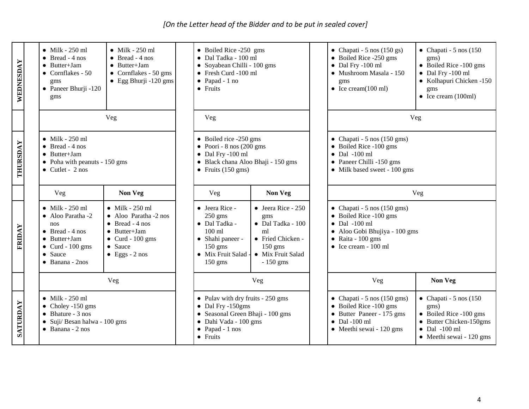*[On the Letter head of the Bidder and to be put in sealed cover]*

| WEDNESDA | $\bullet$ Milk - 250 ml<br>$\bullet$ Bread - 4 nos<br>$\bullet$ Butter+Jam<br>$\bullet$ Cornflakes - 50<br>gms<br>$\bullet$ Paneer Bhurji -120<br>gms                            | $\bullet$ Milk - 250 ml<br>$\bullet$ Bread - 4 nos<br>$\bullet$ Butter+Jam<br>$\bullet$ Cornflakes - 50 gms<br>$\bullet$ Egg Bhurji -120 gms                         | $\bullet$ Papad - 1 no<br>$\bullet$ Fruits                                                                                          | $\bullet$ Boiled Rice -250 gms<br>• Dal Tadka - 100 ml<br>• Soyabean Chilli - 100 gms<br>• Fresh Curd -100 ml                             |                                                                                                                                            | • Chapati - 5 nos (150 gs)<br>$\bullet$ Boiled Rice -250 gms<br>$\bullet$ Dal Fry -100 ml<br>· Mushroom Masala - 150<br>gms<br>• Ice cream $(100 \text{ ml})$                                | $\bullet$ Chapati - 5 nos (150<br>gms)<br>• Boiled Rice -100 gms<br>$\bullet$ Dal Fry -100 ml<br>• Kolhapuri Chicken -150<br>gms<br>• Ice cream $(100ml)$ |  |
|----------|----------------------------------------------------------------------------------------------------------------------------------------------------------------------------------|----------------------------------------------------------------------------------------------------------------------------------------------------------------------|-------------------------------------------------------------------------------------------------------------------------------------|-------------------------------------------------------------------------------------------------------------------------------------------|--------------------------------------------------------------------------------------------------------------------------------------------|----------------------------------------------------------------------------------------------------------------------------------------------------------------------------------------------|-----------------------------------------------------------------------------------------------------------------------------------------------------------|--|
|          |                                                                                                                                                                                  | Veg                                                                                                                                                                  | Veg                                                                                                                                 |                                                                                                                                           |                                                                                                                                            | Veg                                                                                                                                                                                          |                                                                                                                                                           |  |
| THURSDAY | $\bullet$ Milk - 250 ml<br>$\bullet$ Bread - 4 nos<br>$\bullet$ Butter+Jam<br>$\bullet$ Poha with peanuts - 150 gms<br>$\bullet$ Cutlet - 2 nos                                  |                                                                                                                                                                      | $\bullet$ Boiled rice -250 gms<br>$\bullet$ Poori - 8 nos (200 gms<br>$\bullet$ Dal Fry -100 ml<br>• Fruits $(150 \text{ gms})$     | · Black chana Aloo Bhaji - 150 gms                                                                                                        | • Chapati - 5 nos (150 gms)<br>• Boiled Rice -100 gms<br>$\bullet$ Dal -100 ml<br>• Paneer Chilli -150 gms<br>• Milk based sweet - 100 gms |                                                                                                                                                                                              |                                                                                                                                                           |  |
|          | Veg                                                                                                                                                                              | <b>Non Veg</b>                                                                                                                                                       | Veg                                                                                                                                 | Non Veg                                                                                                                                   |                                                                                                                                            | Veg                                                                                                                                                                                          |                                                                                                                                                           |  |
| FRIDAY   | $\bullet$ Milk - 250 ml<br>$\bullet$ Aloo Paratha -2<br>nos<br>$\bullet$ Bread - 4 nos<br>$\bullet$ Butter+Jam<br>$\bullet$ Curd - 100 gms<br>• Sauce<br>$\bullet$ Banana - 2nos | $\bullet$ Milk - 250 ml<br>• Aloo Paratha -2 nos<br>$\bullet$ Bread - 4 nos<br>$\bullet$ Butter+Jam<br>$\bullet$ Curd - 100 gms<br>• Sauce<br>$\bullet$ Eggs - 2 nos | • Jeera Rice -<br>$250$ gms<br>• Dal Tadka -<br>$100 \text{ ml}$<br>• Shahi paneer -<br>$150$ gms<br>• Mix Fruit Salad<br>$150$ gms | $\bullet$ Jeera Rice - 250<br>gms<br>$\bullet$ Dal Tadka - 100<br>ml<br>• Fried Chicken -<br>$150$ gms<br>• Mix Fruit Salad<br>$-150$ gms |                                                                                                                                            | $\bullet$ Chapati - 5 nos (150 gms)<br>• Boiled Rice -100 gms<br>$\bullet$ Dal -100 ml<br>$\bullet$ Aloo Gobi Bhujiya - 100 gms<br>$\bullet$ Raita - 100 gms<br>$\bullet$ Ice cream - 100 ml |                                                                                                                                                           |  |
|          |                                                                                                                                                                                  | Veg                                                                                                                                                                  |                                                                                                                                     | Veg                                                                                                                                       |                                                                                                                                            | Veg                                                                                                                                                                                          | Non Veg                                                                                                                                                   |  |
| SATURDAY | $\bullet$ Milk - 250 ml<br>$\bullet$ Choley -150 gms<br>$\bullet$ Bhature - 3 nos<br>· Suji/ Besan halwa - 100 gms<br>$\bullet$ Banana - 2 nos                                   |                                                                                                                                                                      | $\bullet$ Papad - 1 nos<br>• Fruits                                                                                                 | • Pulav with dry fruits - $250$ gms<br>$\bullet$ Dal Fry -150gms<br>• Seasonal Green Bhaji - 100 gms<br>• Dahi Vada - 100 gms             |                                                                                                                                            | • Chapati - 5 nos (150 gms)<br>• Boiled Rice -100 gms<br>Butter Paneer - 175 gms<br>$\bullet$<br>Dal -100 ml<br>$\bullet$<br>$\bullet$ Meethi sewai - 120 gms                                | $\bullet$ Chapati - 5 nos (150<br>gms)<br>• Boiled Rice -100 gms<br>• Butter Chicken-150gms<br>$\bullet$ Dal -100 ml<br>• Meethi sewai - 120 gms          |  |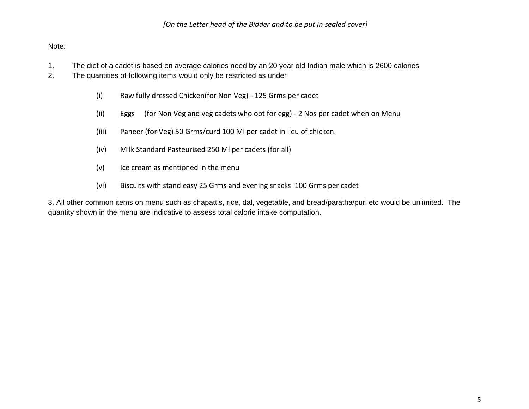#### Note:

- 1. The diet of a cadet is based on average calories need by an 20 year old Indian male which is 2600 calories
- 2. The quantities of following items would only be restricted as under
	- (i) Raw fully dressed Chicken(for Non Veg) 125 Grms per cadet
	- (ii) Eggs (for Non Veg and veg cadets who opt for egg) 2 Nos per cadet when on Menu
	- (iii) Paneer (for Veg) 50 Grms/curd 100 Ml per cadet in lieu of chicken.
	- (iv) Milk Standard Pasteurised 250 Ml per cadets (for all)
	- (v) Ice cream as mentioned in the menu
	- (vi) Biscuits with stand easy 25 Grms and evening snacks 100 Grms per cadet

3. All other common items on menu such as chapattis, rice, dal, vegetable, and bread/paratha/puri etc would be unlimited. The quantity shown in the menu are indicative to assess total calorie intake computation.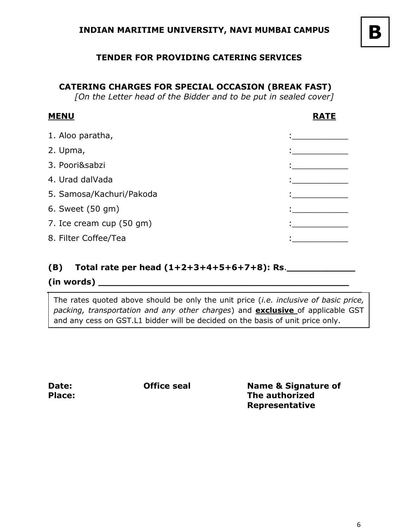#### **TENDER FOR PROVIDING CATERING SERVICES**

#### **CATERING CHARGES FOR SPECIAL OCCASION (BREAK FAST)**

*[On the Letter head of the Bidder and to be put in sealed cover]*

#### **MENU RATE**

| 1. Aloo paratha,         |  |
|--------------------------|--|
| 2. Upma,                 |  |
| 3. Poori&sabzi           |  |
| 4. Urad dalVada          |  |
| 5. Samosa/Kachuri/Pakoda |  |
| 6. Sweet (50 gm)         |  |
| 7. Ice cream cup (50 gm) |  |
| 8. Filter Coffee/Tea     |  |

#### **(B) Total rate per head (1+2+3+4+5+6+7+8): Rs**.**\_\_\_\_\_\_\_\_\_\_\_\_**

#### **(in words) \_\_\_\_\_\_\_\_\_\_\_\_\_\_\_\_\_\_\_\_\_\_\_\_\_\_\_\_\_\_\_\_\_\_\_\_\_\_\_\_\_\_\_\_**

The rates quoted above should be only the unit price (*i.e. inclusive of basic price, packing, transportation and any other charges*) and **exclusive** of applicable GST and any cess on GST.L1 bidder will be decided on the basis of unit price only.

**Date: Place:**

 **Office seal Name & Signature of The authorized Representative**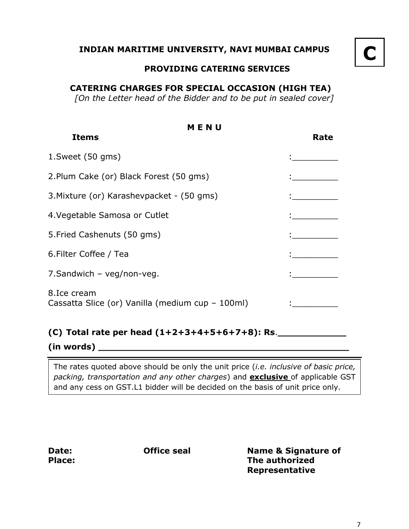#### **INDIAN MARITIME UNIVERSITY, NAVI MUMBAI CAMPUS**

# **C**

#### **PROVIDING CATERING SERVICES**

#### **CATERING CHARGES FOR SPECIAL OCCASION (HIGH TEA)**

*[On the Letter head of the Bidder and to be put in sealed cover]*

| MENU                                                            |      |  |  |  |
|-----------------------------------------------------------------|------|--|--|--|
| <b>Items</b>                                                    | Rate |  |  |  |
| $1.$ Sweet (50 gms)                                             |      |  |  |  |
| 2.Plum Cake (or) Black Forest (50 gms)                          |      |  |  |  |
| 3. Mixture (or) Karashevpacket - (50 gms)                       |      |  |  |  |
| 4. Vegetable Samosa or Cutlet                                   |      |  |  |  |
| 5. Fried Cashenuts (50 gms)                                     |      |  |  |  |
| 6.Filter Coffee / Tea                                           |      |  |  |  |
| 7.Sandwich - veg/non-veg.                                       |      |  |  |  |
| 8.Ice cream<br>Cassatta Slice (or) Vanilla (medium cup - 100ml) |      |  |  |  |

#### **(C) Total rate per head (1+2+3+4+5+6+7+8): Rs**.**\_\_\_\_\_\_\_\_\_\_\_\_**

**(in words) \_\_\_\_\_\_\_\_\_\_\_\_\_\_\_\_\_\_\_\_\_\_\_\_\_\_\_\_\_\_\_\_\_\_\_\_\_\_\_\_\_\_\_\_**

The rates quoted above should be only the unit price (*i.e. inclusive of basic price, packing, transportation and any other charges*) and **exclusive** of applicable GST and any cess on GST.L1 bidder will be decided on the basis of unit price only.

**Date: Place:**

 **Office seal Name & Signature of The authorized Representative**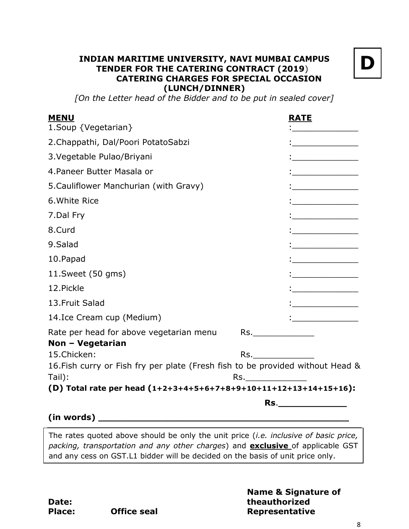#### **INDIAN MARITIME UNIVERSITY, NAVI MUMBAI CAMPUS TENDER FOR THE CATERING CONTRACT (2019**)  **CATERING CHARGES FOR SPECIAL OCCASION (LUNCH/DINNER)**



*[On the Letter head of the Bidder and to be put in sealed cover]*

| <b>MENU</b>                                                                    |                      | <u>RATE</u>                                                                                                                                                                                                                                                                                                                                                                                                                                                                            |
|--------------------------------------------------------------------------------|----------------------|----------------------------------------------------------------------------------------------------------------------------------------------------------------------------------------------------------------------------------------------------------------------------------------------------------------------------------------------------------------------------------------------------------------------------------------------------------------------------------------|
| 1. Soup {Vegetarian}                                                           |                      |                                                                                                                                                                                                                                                                                                                                                                                                                                                                                        |
| 2. Chappathi, Dal/Poori PotatoSabzi                                            |                      |                                                                                                                                                                                                                                                                                                                                                                                                                                                                                        |
| 3. Vegetable Pulao/Briyani                                                     |                      |                                                                                                                                                                                                                                                                                                                                                                                                                                                                                        |
| 4. Paneer Butter Masala or                                                     |                      | $\frac{1}{2}$ and $\frac{1}{2}$ and $\frac{1}{2}$ and $\frac{1}{2}$ and $\frac{1}{2}$ and $\frac{1}{2}$ and $\frac{1}{2}$ and $\frac{1}{2}$ and $\frac{1}{2}$ and $\frac{1}{2}$ and $\frac{1}{2}$ and $\frac{1}{2}$ and $\frac{1}{2}$ and $\frac{1}{2}$ and $\frac{1}{2}$ and $\frac{1}{2}$ a                                                                                                                                                                                          |
| 5. Cauliflower Manchurian (with Gravy)                                         |                      | $\begin{array}{cccccccccc} \multicolumn{2}{c}{} & \multicolumn{2}{c}{} & \multicolumn{2}{c}{} & \multicolumn{2}{c}{} & \multicolumn{2}{c}{} & \multicolumn{2}{c}{} & \multicolumn{2}{c}{} & \multicolumn{2}{c}{} & \multicolumn{2}{c}{} & \multicolumn{2}{c}{} & \multicolumn{2}{c}{} & \multicolumn{2}{c}{} & \multicolumn{2}{c}{} & \multicolumn{2}{c}{} & \multicolumn{2}{c}{} & \multicolumn{2}{c}{} & \multicolumn{2}{c}{} & \multicolumn{2}{c}{} & \multicolumn{2}{c}{} & \mult$ |
| 6. White Rice                                                                  |                      | en al II-lea (b. 1939).<br>1930 — Carl Charles (b. 1939).<br>1930 — Carl Charles (b. 1939).                                                                                                                                                                                                                                                                                                                                                                                            |
| 7.Dal Fry                                                                      |                      |                                                                                                                                                                                                                                                                                                                                                                                                                                                                                        |
| 8.Curd                                                                         |                      | ,<br>, <u>, , , , , , , , , , , , , , , , ,</u>                                                                                                                                                                                                                                                                                                                                                                                                                                        |
| 9.Salad                                                                        |                      | $\frac{1}{2}$                                                                                                                                                                                                                                                                                                                                                                                                                                                                          |
| 10.Papad                                                                       |                      | $\mathbf{r}$                                                                                                                                                                                                                                                                                                                                                                                                                                                                           |
| 11.Sweet (50 gms)                                                              |                      | $\vdots$ . The contract of $\mathcal{L}$                                                                                                                                                                                                                                                                                                                                                                                                                                               |
| 12. Pickle                                                                     |                      |                                                                                                                                                                                                                                                                                                                                                                                                                                                                                        |
| 13. Fruit Salad                                                                |                      | , <u>, , , , , , , , , , , , ,</u><br>, <u>, , , , , , , , , , , ,</u>                                                                                                                                                                                                                                                                                                                                                                                                                 |
| 14.Ice Cream cup (Medium)                                                      |                      | i<br>Lista <u>components de la</u>                                                                                                                                                                                                                                                                                                                                                                                                                                                     |
| Rate per head for above vegetarian menu<br>Non - Vegetarian                    | Rs._________________ |                                                                                                                                                                                                                                                                                                                                                                                                                                                                                        |
| 15.Chicken:                                                                    |                      |                                                                                                                                                                                                                                                                                                                                                                                                                                                                                        |
| 16. Fish curry or Fish fry per plate (Fresh fish to be provided without Head & |                      |                                                                                                                                                                                                                                                                                                                                                                                                                                                                                        |
| Tail):                                                                         | Rs.                  |                                                                                                                                                                                                                                                                                                                                                                                                                                                                                        |
| (D) Total rate per head (1+2+3+4+5+6+7+8+9+10+11+12+13+14+15+16):              |                      |                                                                                                                                                                                                                                                                                                                                                                                                                                                                                        |
|                                                                                |                      | Rs. The contract of the contract of the contract of the contract of the contract of the contract of the contract of the contract of the contract of the contract of the contract of the contract of the contract of the contra                                                                                                                                                                                                                                                         |
| (in words)                                                                     |                      |                                                                                                                                                                                                                                                                                                                                                                                                                                                                                        |

The rates quoted above should be only the unit price (*i.e. inclusive of basic price, packing, transportation and any other charges*) and **exclusive** of applicable GST and any cess on GST.L1 bidder will be decided on the basis of unit price only.

**Name & Signature of theauthorized Representative**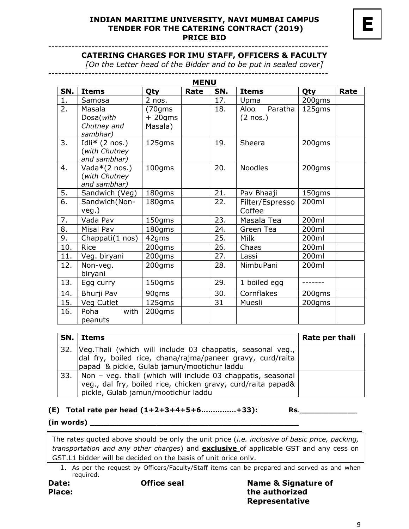#### **INDIAN MARITIME UNIVERSITY, NAVI MUMBAI CAMPUS TENDER FOR THE CATERING CONTRACT (2019) PRICE BID**

**E**

------------------------------------------------------------------------------------

#### **CATERING CHARGES FOR IMU STAFF, OFFICERS & FACULTY**

*[On the Letter head of the Bidder and to be put in sealed cover]*

| 12 P.I.L |  |
|----------|--|

| SN.              | <b>Items</b>             | Qty       | Rate | SN. | <b>Items</b>       | Qty    | Rate |  |  |  |
|------------------|--------------------------|-----------|------|-----|--------------------|--------|------|--|--|--|
| 1.               | Samosa                   | 2 nos.    |      | 17. | Upma               | 200gms |      |  |  |  |
| $\overline{2}$ . | Masala                   | (70gms    |      | 18. | Paratha<br>Aloo    | 125gms |      |  |  |  |
|                  | Dosa(with                | $+20$ gms |      |     | $(2 \text{ nos.})$ |        |      |  |  |  |
|                  | Chutney and              | Masala)   |      |     |                    |        |      |  |  |  |
|                  | sambhar)                 |           |      |     |                    |        |      |  |  |  |
| 3.               | Idli* $(2 \text{ nos.})$ | 125gms    |      | 19. | Sheera             | 200gms |      |  |  |  |
|                  | (with Chutney            |           |      |     |                    |        |      |  |  |  |
|                  | and sambhar)             |           |      |     |                    |        |      |  |  |  |
| 4.               | Vada $*(2 \text{ nos.})$ | 100gms    |      | 20. | <b>Noodles</b>     | 200gms |      |  |  |  |
|                  | (with Chutney            |           |      |     |                    |        |      |  |  |  |
|                  | and sambhar)             |           |      |     |                    |        |      |  |  |  |
| 5.               | Sandwich (Veg)           | 180gms    |      | 21. | Pav Bhaaji         | 150gms |      |  |  |  |
| 6.               | Sandwich (Non-           | 180gms    |      | 22. | Filter/Espresso    | 200ml  |      |  |  |  |
|                  | veg.)                    |           |      |     | Coffee             |        |      |  |  |  |
| 7.               | Vada Pav                 | 150gms    |      | 23. | Masala Tea         | 200ml  |      |  |  |  |
| 8.               | Misal Pav                | 180gms    |      | 24. | Green Tea          | 200ml  |      |  |  |  |
| 9.               | Chappati(1 nos)          | 42gms     |      | 25. | <b>Milk</b>        | 200ml  |      |  |  |  |
| 10.              | Rice                     | 200gms    |      | 26. | Chaas              | 200ml  |      |  |  |  |
| 11.              | Veg. biryani             | 200gms    |      | 27. | Lassi              | 200ml  |      |  |  |  |
| 12.              | Non-veg.                 | 200gms    |      | 28. | NimbuPani          | 200ml  |      |  |  |  |
|                  | biryani                  |           |      |     |                    |        |      |  |  |  |
| 13.              | Egg curry                | 150gms    |      | 29. | 1 boiled egg       |        |      |  |  |  |
| 14.              | Bhurji Pav               | 90gms     |      | 30. | Cornflakes         | 200gms |      |  |  |  |
| 15.              | Veg Cutlet               | 125gms    |      | 31  | Muesli             | 200gms |      |  |  |  |
| 16.              | Poha<br>with             | 200gms    |      |     |                    |        |      |  |  |  |
|                  | peanuts                  |           |      |     |                    |        |      |  |  |  |

| SN. Items                                                                                                                     | Rate per thali |
|-------------------------------------------------------------------------------------------------------------------------------|----------------|
| 32. Veg. Thali (which will include 03 chappatis, seasonal veg.,<br>dal fry, boiled rice, chana/rajma/paneer gravy, curd/raita |                |
| papad & pickle, Gulab jamun/mootichur laddu                                                                                   |                |
| 33.   Non - veg. thali (which will include 03 chappatis, seasonal                                                             |                |
| veg., dal fry, boiled rice, chicken gravy, curd/raita papad&                                                                  |                |
| pickle, Gulab jamun/mootichur laddu                                                                                           |                |

**(E) Total rate per head (1+2+3+4+5+6……………+33): Rs**.**\_\_\_\_\_\_\_\_\_\_\_\_**

**(in words) \_\_\_\_\_\_\_\_\_\_\_\_\_\_\_\_\_\_\_\_\_\_\_\_\_\_\_\_\_\_\_\_\_\_\_\_\_\_\_\_\_\_\_\_**

The rates quoted above should be only the unit price (*i.e. inclusive of basic price, packing, transportation and any other charges*) and **exclusive** of applicable GST and any cess on GST.L1 bidder will be decided on the basis of unit price only.

1. As per the request by Officers/Faculty/Staff items can be prepared and served as and when required.

**Date: Place:**  **Office seal Name & Signature of the authorized Representative**